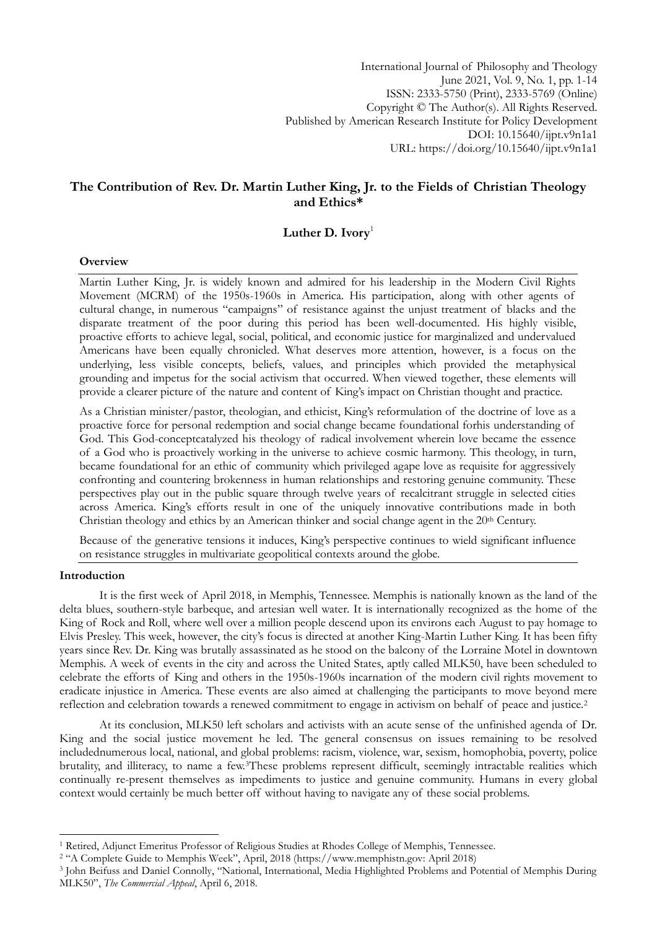International Journal of Philosophy and Theology June 2021, Vol. 9, No. 1, pp. 1-14 ISSN: 2333-5750 (Print), 2333-5769 (Online) Copyright © The Author(s). All Rights Reserved. Published by American Research Institute for Policy Development DOI: 10.15640/ijpt.v9n1a1 URL: https://doi.org/10.15640/ijpt.v9n1a1

# **The Contribution of Rev. Dr. Martin Luther King, Jr. to the Fields of Christian Theology and Ethics\***

# **Luther D. Ivory**<sup>1</sup>

### **Overview**

Martin Luther King, Jr. is widely known and admired for his leadership in the Modern Civil Rights Movement (MCRM) of the 1950s-1960s in America. His participation, along with other agents of cultural change, in numerous "campaigns" of resistance against the unjust treatment of blacks and the disparate treatment of the poor during this period has been well-documented. His highly visible, proactive efforts to achieve legal, social, political, and economic justice for marginalized and undervalued Americans have been equally chronicled. What deserves more attention, however, is a focus on the underlying, less visible concepts, beliefs, values, and principles which provided the metaphysical grounding and impetus for the social activism that occurred. When viewed together, these elements will provide a clearer picture of the nature and content of King's impact on Christian thought and practice.

As a Christian minister/pastor, theologian, and ethicist, King's reformulation of the doctrine of love as a proactive force for personal redemption and social change became foundational forhis understanding of God. This God-conceptcatalyzed his theology of radical involvement wherein love became the essence of a God who is proactively working in the universe to achieve cosmic harmony. This theology, in turn, became foundational for an ethic of community which privileged agape love as requisite for aggressively confronting and countering brokenness in human relationships and restoring genuine community. These perspectives play out in the public square through twelve years of recalcitrant struggle in selected cities across America. King"s efforts result in one of the uniquely innovative contributions made in both Christian theology and ethics by an American thinker and social change agent in the 20th Century.

Because of the generative tensions it induces, King's perspective continues to wield significant influence on resistance struggles in multivariate geopolitical contexts around the globe.

#### **Introduction**

1

It is the first week of April 2018, in Memphis, Tennessee. Memphis is nationally known as the land of the delta blues, southern-style barbeque, and artesian well water. It is internationally recognized as the home of the King of Rock and Roll, where well over a million people descend upon its environs each August to pay homage to Elvis Presley. This week, however, the city"s focus is directed at another King-Martin Luther King. It has been fifty years since Rev. Dr. King was brutally assassinated as he stood on the balcony of the Lorraine Motel in downtown Memphis. A week of events in the city and across the United States, aptly called MLK50, have been scheduled to celebrate the efforts of King and others in the 1950s-1960s incarnation of the modern civil rights movement to eradicate injustice in America. These events are also aimed at challenging the participants to move beyond mere reflection and celebration towards a renewed commitment to engage in activism on behalf of peace and justice.<sup>2</sup>

At its conclusion, MLK50 left scholars and activists with an acute sense of the unfinished agenda of Dr. King and the social justice movement he led. The general consensus on issues remaining to be resolved includednumerous local, national, and global problems: racism, violence, war, sexism, homophobia, poverty, police brutality, and illiteracy, to name a few.3These problems represent difficult, seemingly intractable realities which continually re-present themselves as impediments to justice and genuine community. Humans in every global context would certainly be much better off without having to navigate any of these social problems.

<sup>1</sup> Retired, Adjunct Emeritus Professor of Religious Studies at Rhodes College of Memphis, Tennessee.

<sup>2</sup> "A Complete Guide to Memphis Week", April, 2018 ([https://www.memphistn.gov:](https://www.memphistn.gov/) April 2018)

<sup>3</sup> John Beifuss and Daniel Connolly, "National, International, Media Highlighted Problems and Potential of Memphis During MLK50", *The Commercial Appeal*, April 6, 2018.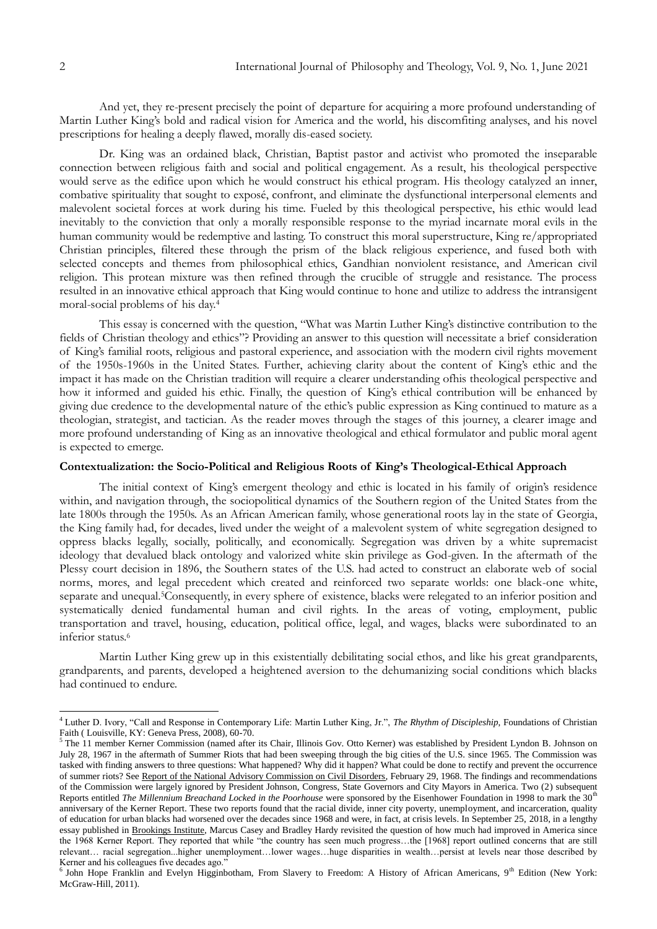And yet, they re-present precisely the point of departure for acquiring a more profound understanding of Martin Luther King"s bold and radical vision for America and the world, his discomfiting analyses, and his novel prescriptions for healing a deeply flawed, morally dis-eased society.

Dr. King was an ordained black, Christian, Baptist pastor and activist who promoted the inseparable connection between religious faith and social and political engagement. As a result, his theological perspective would serve as the edifice upon which he would construct his ethical program. His theology catalyzed an inner, combative spirituality that sought to exposé, confront, and eliminate the dysfunctional interpersonal elements and malevolent societal forces at work during his time. Fueled by this theological perspective, his ethic would lead inevitably to the conviction that only a morally responsible response to the myriad incarnate moral evils in the human community would be redemptive and lasting. To construct this moral superstructure, King re/appropriated Christian principles, filtered these through the prism of the black religious experience, and fused both with selected concepts and themes from philosophical ethics, Gandhian nonviolent resistance, and American civil religion. This protean mixture was then refined through the crucible of struggle and resistance. The process resulted in an innovative ethical approach that King would continue to hone and utilize to address the intransigent moral-social problems of his day.<sup>4</sup>

This essay is concerned with the question, "What was Martin Luther King's distinctive contribution to the fields of Christian theology and ethics"? Providing an answer to this question will necessitate a brief consideration of King"s familial roots, religious and pastoral experience, and association with the modern civil rights movement of the 1950s-1960s in the United States. Further, achieving clarity about the content of King"s ethic and the impact it has made on the Christian tradition will require a clearer understanding ofhis theological perspective and how it informed and guided his ethic. Finally, the question of King's ethical contribution will be enhanced by giving due credence to the developmental nature of the ethic"s public expression as King continued to mature as a theologian, strategist, and tactician. As the reader moves through the stages of this journey, a clearer image and more profound understanding of King as an innovative theological and ethical formulator and public moral agent is expected to emerge.

# **Contextualization: the Socio-Political and Religious Roots of King's Theological-Ethical Approach**

The initial context of King's emergent theology and ethic is located in his family of origin's residence within, and navigation through, the sociopolitical dynamics of the Southern region of the United States from the late 1800s through the 1950s. As an African American family, whose generational roots lay in the state of Georgia, the King family had, for decades, lived under the weight of a malevolent system of white segregation designed to oppress blacks legally, socially, politically, and economically. Segregation was driven by a white supremacist ideology that devalued black ontology and valorized white skin privilege as God-given. In the aftermath of the Plessy court decision in 1896, the Southern states of the U.S. had acted to construct an elaborate web of social norms, mores, and legal precedent which created and reinforced two separate worlds: one black-one white, separate and unequal.5Consequently, in every sphere of existence, blacks were relegated to an inferior position and systematically denied fundamental human and civil rights. In the areas of voting, employment, public transportation and travel, housing, education, political office, legal, and wages, blacks were subordinated to an inferior status.<sup>6</sup>

Martin Luther King grew up in this existentially debilitating social ethos, and like his great grandparents, grandparents, and parents, developed a heightened aversion to the dehumanizing social conditions which blacks had continued to endure.

<sup>4</sup> Luther D. Ivory, "Call and Response in Contemporary Life: Martin Luther King, Jr.", *The Rhythm of Discipleship*, Foundations of Christian Faith ( Louisville, KY: Geneva Press, 2008), 60-70.

 $5$  The 11 member Kerner Commission (named after its Chair, Illinois Gov. Otto Kerner) was established by President Lyndon B. Johnson on July 28, 1967 in the aftermath of Summer Riots that had been sweeping through the big cities of the U.S. since 1965. The Commission was tasked with finding answers to three questions: What happened? Why did it happen? What could be done to rectify and prevent the occurrence of summer riots? See Report of the National Advisory Commission on Civil Disorders, February 29, 1968. The findings and recommendations of the Commission were largely ignored by President Johnson, Congress, State Governors and City Mayors in America. Two (2) subsequent Reports entitled *The Millennium Breachand Locked in the Poorhouse* were sponsored by the Eisenhower Foundation in 1998 to mark the 30<sup>th</sup> anniversary of the Kerner Report. These two reports found that the racial divide, inner city poverty, unemployment, and incarceration, quality of education for urban blacks had worsened over the decades since 1968 and were, in fact, at crisis levels. In September 25, 2018, in a lengthy essay published in Brookings Institute, Marcus Casey and Bradley Hardy revisited the question of how much had improved in America since the 1968 Kerner Report. They reported that while "the country has seen much progress...the [1968] report outlined concerns that are still relevant… racial segregation...higher unemployment…lower wages…huge disparities in wealth…persist at levels near those described by Kerner and his colleagues five decades ago."

<sup>&</sup>lt;sup>6</sup> John Hope Franklin and Evelyn Higginbotham, From Slavery to Freedom: A History of African Americans, 9<sup>th</sup> Edition (New York: McGraw-Hill, 2011).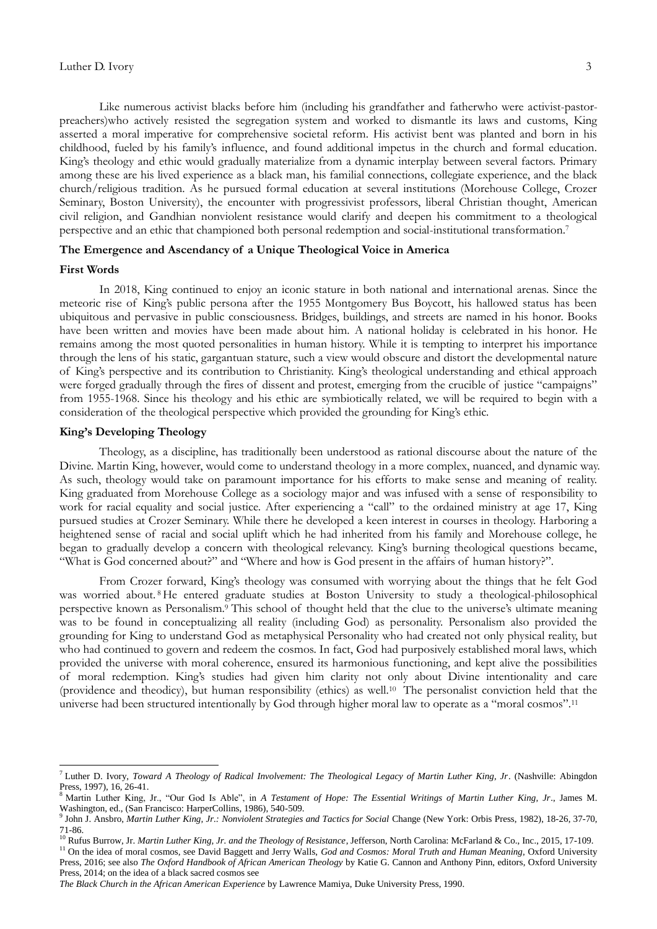Like numerous activist blacks before him (including his grandfather and fatherwho were activist-pastorpreachers)who actively resisted the segregation system and worked to dismantle its laws and customs, King asserted a moral imperative for comprehensive societal reform. His activist bent was planted and born in his childhood, fueled by his family"s influence, and found additional impetus in the church and formal education. King's theology and ethic would gradually materialize from a dynamic interplay between several factors. Primary among these are his lived experience as a black man, his familial connections, collegiate experience, and the black church/religious tradition. As he pursued formal education at several institutions (Morehouse College, Crozer Seminary, Boston University), the encounter with progressivist professors, liberal Christian thought, American civil religion, and Gandhian nonviolent resistance would clarify and deepen his commitment to a theological perspective and an ethic that championed both personal redemption and social-institutional transformation.<sup>7</sup>

## **The Emergence and Ascendancy of a Unique Theological Voice in America**

#### **First Words**

<u>.</u>

In 2018, King continued to enjoy an iconic stature in both national and international arenas. Since the meteoric rise of King"s public persona after the 1955 Montgomery Bus Boycott, his hallowed status has been ubiquitous and pervasive in public consciousness. Bridges, buildings, and streets are named in his honor. Books have been written and movies have been made about him. A national holiday is celebrated in his honor. He remains among the most quoted personalities in human history. While it is tempting to interpret his importance through the lens of his static, gargantuan stature, such a view would obscure and distort the developmental nature of King"s perspective and its contribution to Christianity. King"s theological understanding and ethical approach were forged gradually through the fires of dissent and protest, emerging from the crucible of justice "campaigns" from 1955-1968. Since his theology and his ethic are symbiotically related, we will be required to begin with a consideration of the theological perspective which provided the grounding for King"s ethic.

## **King's Developing Theology**

Theology, as a discipline, has traditionally been understood as rational discourse about the nature of the Divine. Martin King, however, would come to understand theology in a more complex, nuanced, and dynamic way. As such, theology would take on paramount importance for his efforts to make sense and meaning of reality. King graduated from Morehouse College as a sociology major and was infused with a sense of responsibility to work for racial equality and social justice. After experiencing a "call" to the ordained ministry at age 17, King pursued studies at Crozer Seminary. While there he developed a keen interest in courses in theology. Harboring a heightened sense of racial and social uplift which he had inherited from his family and Morehouse college, he began to gradually develop a concern with theological relevancy. King"s burning theological questions became, "What is God concerned about?" and "Where and how is God present in the affairs of human history?".

From Crozer forward, King's theology was consumed with worrying about the things that he felt God was worried about. <sup>8</sup>He entered graduate studies at Boston University to study a theological-philosophical perspective known as Personalism.<sup>9</sup> This school of thought held that the clue to the universe's ultimate meaning was to be found in conceptualizing all reality (including God) as personality. Personalism also provided the grounding for King to understand God as metaphysical Personality who had created not only physical reality, but who had continued to govern and redeem the cosmos. In fact, God had purposively established moral laws, which provided the universe with moral coherence, ensured its harmonious functioning, and kept alive the possibilities of moral redemption. King"s studies had given him clarity not only about Divine intentionality and care (providence and theodicy), but human responsibility (ethics) as well.<sup>10</sup> The personalist conviction held that the universe had been structured intentionally by God through higher moral law to operate as a "moral cosmos".<sup>11</sup>

<sup>7</sup> Luther D. Ivory, *Toward A Theology of Radical Involvement: The Theological Legacy of Martin Luther King, Jr*. (Nashville: Abingdon Press, 1997), 16, 26-41.

<sup>8</sup> Martin Luther King, Jr., "Our God Is Able", in *A Testament of Hope: The Essential Writings of Martin Luther King, Jr*., James M. Washington, ed., (San Francisco: HarperCollins, 1986), 540-509.

<sup>9</sup> John J. Ansbro, *Martin Luther King, Jr.: Nonviolent Strategies and Tactics for Social* Change (New York: Orbis Press, 1982), 18-26, 37-70, 71-86.

<sup>10</sup> Rufus Burrow, Jr. *Martin Luther King, Jr. and the Theology of Resistance*, Jefferson, North Carolina: McFarland & Co., Inc., 2015, 17-109.

<sup>11</sup> On the idea of moral cosmos, see David Baggett and Jerry Walls, *God and Cosmos: Moral Truth and Human Meaning,* Oxford University Press, 2016; see also *The Oxford Handbook of African American Theology* by Katie G. Cannon and Anthony Pinn, editors, Oxford University Press, 2014; on the idea of a black sacred cosmos see

*The Black Church in the African American Experience* by Lawrence Mamiya, Duke University Press, 1990.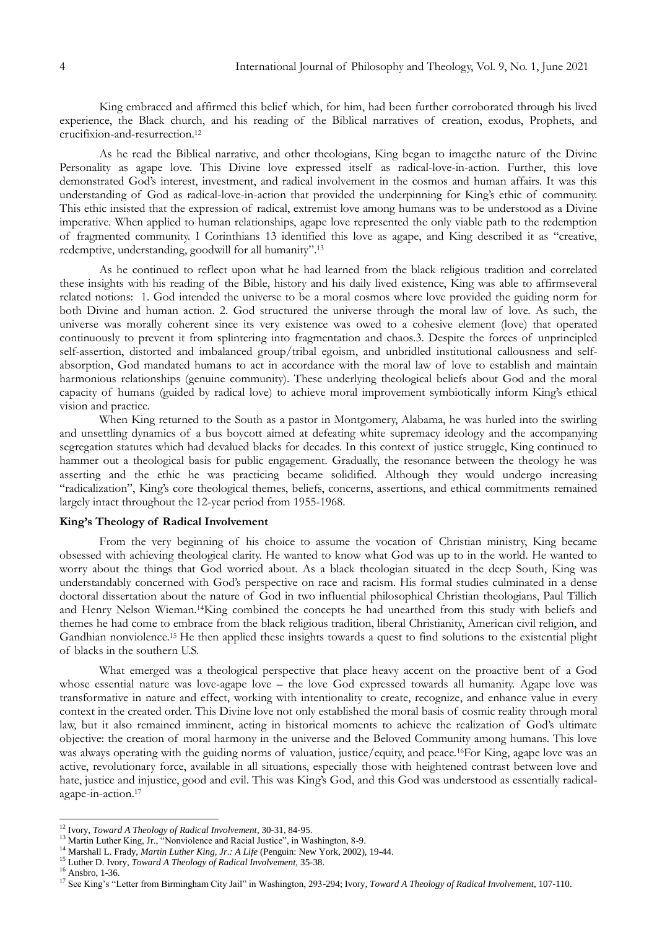King embraced and affirmed this belief which, for him, had been further corroborated through his lived experience, the Black church, and his reading of the Biblical narratives of creation, exodus, Prophets, and crucifixion-and-resurrection.<sup>12</sup>

As he read the Biblical narrative, and other theologians, King began to imagethe nature of the Divine Personality as agape love. This Divine love expressed itself as radical-love-in-action. Further, this love demonstrated God's interest, investment, and radical involvement in the cosmos and human affairs. It was this understanding of God as radical-love-in-action that provided the underpinning for King"s ethic of community. This ethic insisted that the expression of radical, extremist love among humans was to be understood as a Divine imperative. When applied to human relationships, agape love represented the only viable path to the redemption of fragmented community. I Corinthians 13 identified this love as agape, and King described it as "creative, redemptive, understanding, goodwill for all humanity".<sup>13</sup>

As he continued to reflect upon what he had learned from the black religious tradition and correlated these insights with his reading of the Bible, history and his daily lived existence, King was able to affirmseveral related notions: 1. God intended the universe to be a moral cosmos where love provided the guiding norm for both Divine and human action. 2. God structured the universe through the moral law of love. As such, the universe was morally coherent since its very existence was owed to a cohesive element (love) that operated continuously to prevent it from splintering into fragmentation and chaos.3. Despite the forces of unprincipled self-assertion, distorted and imbalanced group/tribal egoism, and unbridled institutional callousness and selfabsorption, God mandated humans to act in accordance with the moral law of love to establish and maintain harmonious relationships (genuine community). These underlying theological beliefs about God and the moral capacity of humans (guided by radical love) to achieve moral improvement symbiotically inform King's ethical vision and practice.

When King returned to the South as a pastor in Montgomery, Alabama, he was hurled into the swirling and unsettling dynamics of a bus boycott aimed at defeating white supremacy ideology and the accompanying segregation statutes which had devalued blacks for decades. In this context of justice struggle, King continued to hammer out a theological basis for public engagement. Gradually, the resonance between the theology he was asserting and the ethic he was practicing became solidified. Although they would undergo increasing "radicalization", King's core theological themes, beliefs, concerns, assertions, and ethical commitments remained largely intact throughout the 12-year period from 1955-1968.

# **King's Theology of Radical Involvement**

From the very beginning of his choice to assume the vocation of Christian ministry, King became obsessed with achieving theological clarity. He wanted to know what God was up to in the world. He wanted to worry about the things that God worried about. As a black theologian situated in the deep South, King was understandably concerned with God's perspective on race and racism. His formal studies culminated in a dense doctoral dissertation about the nature of God in two influential philosophical Christian theologians, Paul Tillich and Henry Nelson Wieman.14King combined the concepts he had unearthed from this study with beliefs and themes he had come to embrace from the black religious tradition, liberal Christianity, American civil religion, and Gandhian nonviolence.<sup>15</sup> He then applied these insights towards a quest to find solutions to the existential plight of blacks in the southern U.S.

What emerged was a theological perspective that place heavy accent on the proactive bent of a God whose essential nature was love-agape love – the love God expressed towards all humanity. Agape love was transformative in nature and effect, working with intentionality to create, recognize, and enhance value in every context in the created order. This Divine love not only established the moral basis of cosmic reality through moral law, but it also remained imminent, acting in historical moments to achieve the realization of God's ultimate objective: the creation of moral harmony in the universe and the Beloved Community among humans. This love was always operating with the guiding norms of valuation, justice/equity, and peace.16For King, agape love was an active, revolutionary force, available in all situations, especially those with heightened contrast between love and hate, justice and injustice, good and evil. This was King's God, and this God was understood as essentially radicalagape-in-action.<sup>17</sup>

<sup>12</sup> Ivory, *Toward A Theology of Radical Involvement*, 30-31, 84-95.

<sup>&</sup>lt;sup>13</sup> Martin Luther King, Jr., "Nonviolence and Racial Justice", in Washington, 8-9.

<sup>14</sup> Marshall L. Frady, *Martin Luther King, Jr.: A Life* (Penguin: New York, 2002), 19-44.

<sup>15</sup> Luther D. Ivory, *Toward A Theology of Radical Involvement,* 35-38.

 $16$  Ansbro, 1-36.

<sup>&</sup>lt;sup>17</sup> See King's "Letter from Birmingham City Jail" in Washington, 293-294; Ivory, *Toward A Theology of Radical Involvement*, 107-110.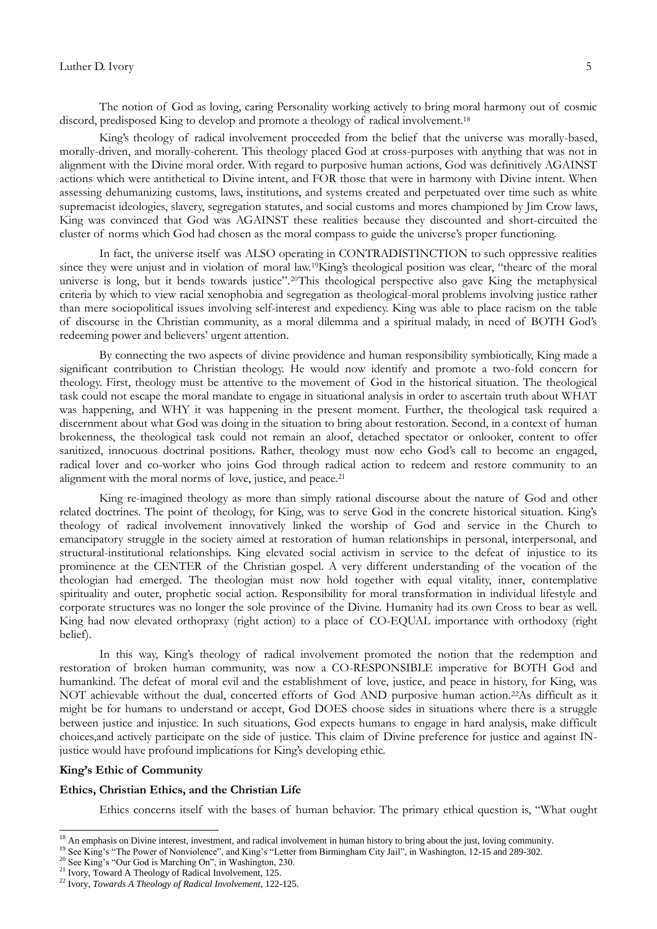The notion of God as loving, caring Personality working actively to bring moral harmony out of cosmic discord, predisposed King to develop and promote a theology of radical involvement.<sup>18</sup>

King's theology of radical involvement proceeded from the belief that the universe was morally-based, morally-driven, and morally-coherent. This theology placed God at cross-purposes with anything that was not in alignment with the Divine moral order. With regard to purposive human actions, God was definitively AGAINST actions which were antithetical to Divine intent, and FOR those that were in harmony with Divine intent. When assessing dehumanizing customs, laws, institutions, and systems created and perpetuated over time such as white supremacist ideologies, slavery, segregation statutes, and social customs and mores championed by Jim Crow laws, King was convinced that God was AGAINST these realities because they discounted and short-circuited the cluster of norms which God had chosen as the moral compass to guide the universe's proper functioning.

In fact, the universe itself was ALSO operating in CONTRADISTINCTION to such oppressive realities since they were unjust and in violation of moral law.<sup>19</sup>King's theological position was clear, "thearc of the moral universe is long, but it bends towards justice".20This theological perspective also gave King the metaphysical criteria by which to view racial xenophobia and segregation as theological-moral problems involving justice rather than mere sociopolitical issues involving self-interest and expediency. King was able to place racism on the table of discourse in the Christian community, as a moral dilemma and a spiritual malady, in need of BOTH God"s redeeming power and believers' urgent attention.

By connecting the two aspects of divine providence and human responsibility symbiotically, King made a significant contribution to Christian theology. He would now identify and promote a two-fold concern for theology. First, theology must be attentive to the movement of God in the historical situation. The theological task could not escape the moral mandate to engage in situational analysis in order to ascertain truth about WHAT was happening, and WHY it was happening in the present moment. Further, the theological task required a discernment about what God was doing in the situation to bring about restoration. Second, in a context of human brokenness, the theological task could not remain an aloof, detached spectator or onlooker, content to offer sanitized, innocuous doctrinal positions. Rather, theology must now echo God's call to become an engaged, radical lover and co-worker who joins God through radical action to redeem and restore community to an alignment with the moral norms of love, justice, and peace.<sup>21</sup>

King re-imagined theology as more than simply rational discourse about the nature of God and other related doctrines. The point of theology, for King, was to serve God in the concrete historical situation. King's theology of radical involvement innovatively linked the worship of God and service in the Church to emancipatory struggle in the society aimed at restoration of human relationships in personal, interpersonal, and structural-institutional relationships. King elevated social activism in service to the defeat of injustice to its prominence at the CENTER of the Christian gospel. A very different understanding of the vocation of the theologian had emerged. The theologian must now hold together with equal vitality, inner, contemplative spirituality and outer, prophetic social action. Responsibility for moral transformation in individual lifestyle and corporate structures was no longer the sole province of the Divine. Humanity had its own Cross to bear as well. King had now elevated orthopraxy (right action) to a place of CO-EQUAL importance with orthodoxy (right belief).

In this way, King's theology of radical involvement promoted the notion that the redemption and restoration of broken human community, was now a CO-RESPONSIBLE imperative for BOTH God and humankind. The defeat of moral evil and the establishment of love, justice, and peace in history, for King, was NOT achievable without the dual, concerted efforts of God AND purposive human action.<sup>22</sup>As difficult as it might be for humans to understand or accept, God DOES choose sides in situations where there is a struggle between justice and injustice. In such situations, God expects humans to engage in hard analysis, make difficult choices,and actively participate on the side of justice. This claim of Divine preference for justice and against INjustice would have profound implications for King's developing ethic.

#### **King's Ethic of Community**

**.** 

## **Ethics, Christian Ethics, and the Christian Life**

Ethics concerns itself with the bases of human behavior. The primary ethical question is, "What ought

 $18$  An emphasis on Divine interest, investment, and radical involvement in human history to bring about the just, loving community.

<sup>&</sup>lt;sup>19</sup> See King's "The Power of Nonviolence", and King's "Letter from Birmingham City Jail", in Washington, 12-15 and 289-302.

<sup>&</sup>lt;sup>20</sup> See King's "Our God is Marching On", in Washington, 230.

<sup>&</sup>lt;sup>21</sup> Ivory, Toward A Theology of Radical Involvement, 125.

<sup>22</sup> Ivory, *Towards A Theology of Radical Involvement*, 122-125.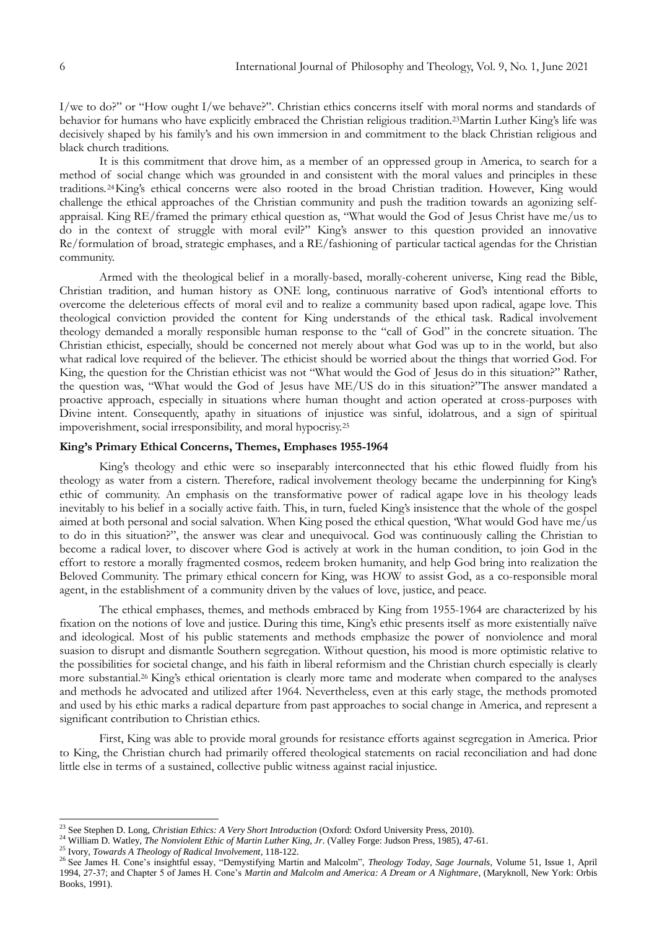I/we to do?" or "How ought I/we behave?". Christian ethics concerns itself with moral norms and standards of behavior for humans who have explicitly embraced the Christian religious tradition.23Martin Luther King"s life was decisively shaped by his family's and his own immersion in and commitment to the black Christian religious and black church traditions.

It is this commitment that drove him, as a member of an oppressed group in America, to search for a method of social change which was grounded in and consistent with the moral values and principles in these traditions. <sup>24</sup>King"s ethical concerns were also rooted in the broad Christian tradition. However, King would challenge the ethical approaches of the Christian community and push the tradition towards an agonizing selfappraisal. King RE/framed the primary ethical question as, "What would the God of Jesus Christ have me/us to do in the context of struggle with moral evil?" King's answer to this question provided an innovative Re/formulation of broad, strategic emphases, and a RE/fashioning of particular tactical agendas for the Christian community.

Armed with the theological belief in a morally-based, morally-coherent universe, King read the Bible, Christian tradition, and human history as ONE long, continuous narrative of God"s intentional efforts to overcome the deleterious effects of moral evil and to realize a community based upon radical, agape love. This theological conviction provided the content for King understands of the ethical task. Radical involvement theology demanded a morally responsible human response to the "call of God" in the concrete situation. The Christian ethicist, especially, should be concerned not merely about what God was up to in the world, but also what radical love required of the believer. The ethicist should be worried about the things that worried God. For King, the question for the Christian ethicist was not "What would the God of Jesus do in this situation?" Rather, the question was, "What would the God of Jesus have ME/US do in this situation?"The answer mandated a proactive approach, especially in situations where human thought and action operated at cross-purposes with Divine intent. Consequently, apathy in situations of injustice was sinful, idolatrous, and a sign of spiritual impoverishment, social irresponsibility, and moral hypocrisy.<sup>25</sup>

## **King's Primary Ethical Concerns, Themes, Emphases 1955-1964**

King"s theology and ethic were so inseparably interconnected that his ethic flowed fluidly from his theology as water from a cistern. Therefore, radical involvement theology became the underpinning for King"s ethic of community. An emphasis on the transformative power of radical agape love in his theology leads inevitably to his belief in a socially active faith. This, in turn, fueled King"s insistence that the whole of the gospel aimed at both personal and social salvation. When King posed the ethical question, "What would God have me/us to do in this situation?", the answer was clear and unequivocal. God was continuously calling the Christian to become a radical lover, to discover where God is actively at work in the human condition, to join God in the effort to restore a morally fragmented cosmos, redeem broken humanity, and help God bring into realization the Beloved Community. The primary ethical concern for King, was HOW to assist God, as a co-responsible moral agent, in the establishment of a community driven by the values of love, justice, and peace.

The ethical emphases, themes, and methods embraced by King from 1955-1964 are characterized by his fixation on the notions of love and justice. During this time, King"s ethic presents itself as more existentially naïve and ideological. Most of his public statements and methods emphasize the power of nonviolence and moral suasion to disrupt and dismantle Southern segregation. Without question, his mood is more optimistic relative to the possibilities for societal change, and his faith in liberal reformism and the Christian church especially is clearly more substantial.<sup>26</sup> King's ethical orientation is clearly more tame and moderate when compared to the analyses and methods he advocated and utilized after 1964. Nevertheless, even at this early stage, the methods promoted and used by his ethic marks a radical departure from past approaches to social change in America, and represent a significant contribution to Christian ethics.

First, King was able to provide moral grounds for resistance efforts against segregation in America. Prior to King, the Christian church had primarily offered theological statements on racial reconciliation and had done little else in terms of a sustained, collective public witness against racial injustice.

<sup>23</sup> See Stephen D. Long, *Christian Ethics: A Very Short Introduction* (Oxford: Oxford University Press, 2010).

<sup>24</sup> William D. Watley, *The Nonviolent Ethic of Martin Luther King, Jr*. (Valley Forge: Judson Press, 1985), 47-61.

<sup>25</sup> Ivory, *Towards A Theology of Radical Involvement*, 118-122.

<sup>&</sup>lt;sup>26</sup> See James H. Cone's insightful essay, "Demystifying Martin and Malcolm", *Theology Today, Sage Journals*, Volume 51, Issue 1, April 1994, 27-37; and Chapter 5 of James H. Cone"s *Martin and Malcolm and America: A Dream or A Nightmare*, (Maryknoll, New York: Orbis Books, 1991).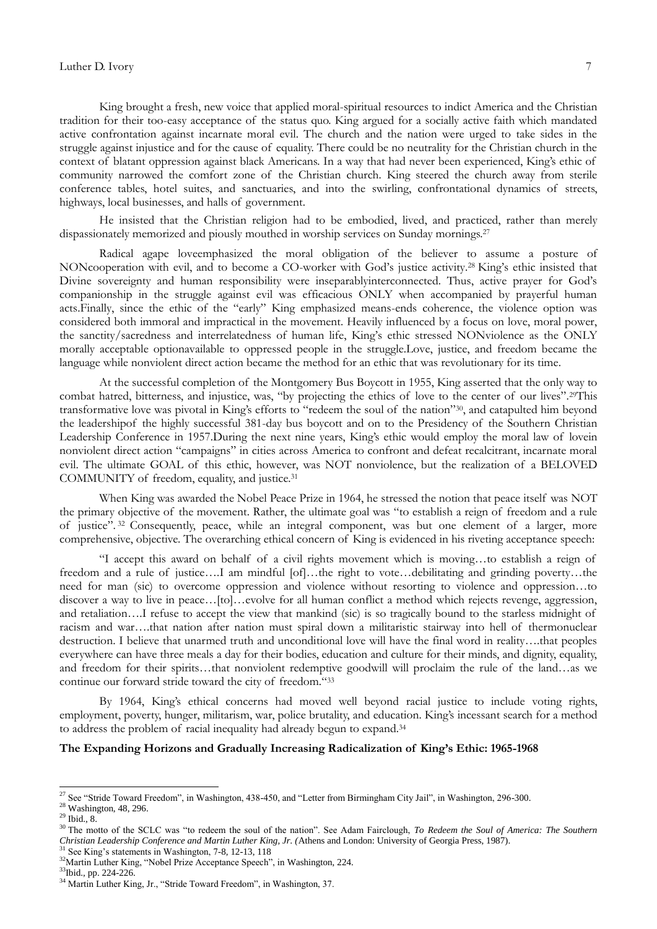King brought a fresh, new voice that applied moral-spiritual resources to indict America and the Christian tradition for their too-easy acceptance of the status quo. King argued for a socially active faith which mandated active confrontation against incarnate moral evil. The church and the nation were urged to take sides in the struggle against injustice and for the cause of equality. There could be no neutrality for the Christian church in the context of blatant oppression against black Americans. In a way that had never been experienced, King"s ethic of community narrowed the comfort zone of the Christian church. King steered the church away from sterile conference tables, hotel suites, and sanctuaries, and into the swirling, confrontational dynamics of streets, highways, local businesses, and halls of government.

He insisted that the Christian religion had to be embodied, lived, and practiced, rather than merely dispassionately memorized and piously mouthed in worship services on Sunday mornings.<sup>27</sup>

Radical agape loveemphasized the moral obligation of the believer to assume a posture of NONcooperation with evil, and to become a CO-worker with God"s justice activity.<sup>28</sup> King"s ethic insisted that Divine sovereignty and human responsibility were inseparablyinterconnected. Thus, active prayer for God"s companionship in the struggle against evil was efficacious ONLY when accompanied by prayerful human acts.Finally, since the ethic of the "early" King emphasized means-ends coherence, the violence option was considered both immoral and impractical in the movement. Heavily influenced by a focus on love, moral power, the sanctity/sacredness and interrelatedness of human life, King"s ethic stressed NONviolence as the ONLY morally acceptable optionavailable to oppressed people in the struggle.Love, justice, and freedom became the language while nonviolent direct action became the method for an ethic that was revolutionary for its time.

At the successful completion of the Montgomery Bus Boycott in 1955, King asserted that the only way to combat hatred, bitterness, and injustice, was, "by projecting the ethics of love to the center of our lives".<sup>29This</sup> transformative love was pivotal in King's efforts to "redeem the soul of the nation"<sup>30</sup>, and catapulted him beyond the leadershipof the highly successful 381-day bus boycott and on to the Presidency of the Southern Christian Leadership Conference in 1957.During the next nine years, King"s ethic would employ the moral law of lovein nonviolent direct action "campaigns" in cities across America to confront and defeat recalcitrant, incarnate moral evil. The ultimate GOAL of this ethic, however, was NOT nonviolence, but the realization of a BELOVED COMMUNITY of freedom, equality, and justice.<sup>31</sup>

When King was awarded the Nobel Peace Prize in 1964, he stressed the notion that peace itself was NOT the primary objective of the movement. Rather, the ultimate goal was "to establish a reign of freedom and a rule of justice". <sup>32</sup> Consequently, peace, while an integral component, was but one element of a larger, more comprehensive, objective. The overarching ethical concern of King is evidenced in his riveting acceptance speech:

"I accept this award on behalf of a civil rights movement which is moving…to establish a reign of freedom and a rule of justice....I am mindful [of]...the right to vote...debilitating and grinding poverty...the need for man (sic) to overcome oppression and violence without resorting to violence and oppression…to discover a way to live in peace...[to]...evolve for all human conflict a method which rejects revenge, aggression, and retaliation….I refuse to accept the view that mankind (sic) is so tragically bound to the starless midnight of racism and war….that nation after nation must spiral down a militaristic stairway into hell of thermonuclear destruction. I believe that unarmed truth and unconditional love will have the final word in reality….that peoples everywhere can have three meals a day for their bodies, education and culture for their minds, and dignity, equality, and freedom for their spirits…that nonviolent redemptive goodwill will proclaim the rule of the land…as we continue our forward stride toward the city of freedom."<sup>33</sup>

By 1964, King's ethical concerns had moved well beyond racial justice to include voting rights, employment, poverty, hunger, militarism, war, police brutality, and education. King's incessant search for a method to address the problem of racial inequality had already begun to expand.<sup>34</sup>

### **The Expanding Horizons and Gradually Increasing Radicalization of King's Ethic: 1965-1968**

<sup>&</sup>lt;sup>27</sup> See "Stride Toward Freedom", in Washington, 438-450, and "Letter from Birmingham City Jail", in Washington, 296-300.

 $28$  Washington, 48, 296.

 $29$  Ibid., 8.

<sup>&</sup>lt;sup>30</sup> The motto of the SCLC was "to redeem the soul of the nation". See Adam Fairclough, *To Redeem the Soul of America: The Southern Christian Leadership Conference and Martin Luther King, Jr. (*Athens and London: University of Georgia Press, 1987).  $31$  See King's statements in Washington, 7-8, 12-13, 118

<sup>&</sup>lt;sup>32</sup>Martin Luther King, "Nobel Prize Acceptance Speech", in Washington, 224.

<sup>&</sup>lt;sup>33</sup>Ibid., pp. 224-226.

<sup>&</sup>lt;sup>34</sup> Martin Luther King, Jr., "Stride Toward Freedom", in Washington, 37.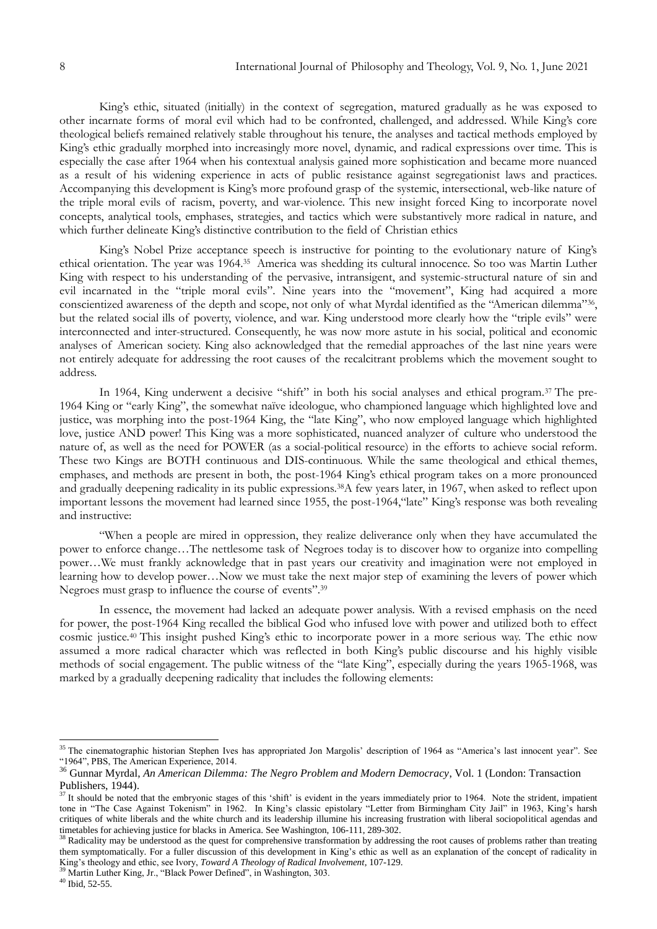King"s ethic, situated (initially) in the context of segregation, matured gradually as he was exposed to other incarnate forms of moral evil which had to be confronted, challenged, and addressed. While King"s core theological beliefs remained relatively stable throughout his tenure, the analyses and tactical methods employed by King's ethic gradually morphed into increasingly more novel, dynamic, and radical expressions over time. This is especially the case after 1964 when his contextual analysis gained more sophistication and became more nuanced as a result of his widening experience in acts of public resistance against segregationist laws and practices. Accompanying this development is King"s more profound grasp of the systemic, intersectional, web-like nature of the triple moral evils of racism, poverty, and war-violence. This new insight forced King to incorporate novel concepts, analytical tools, emphases, strategies, and tactics which were substantively more radical in nature, and which further delineate King's distinctive contribution to the field of Christian ethics

King's Nobel Prize acceptance speech is instructive for pointing to the evolutionary nature of King's ethical orientation. The year was 1964.<sup>35</sup> America was shedding its cultural innocence. So too was Martin Luther King with respect to his understanding of the pervasive, intransigent, and systemic-structural nature of sin and evil incarnated in the "triple moral evils". Nine years into the "movement", King had acquired a more conscientized awareness of the depth and scope, not only of what Myrdal identified as the "American dilemma"<sup>36</sup>, but the related social ills of poverty, violence, and war. King understood more clearly how the "triple evils" were interconnected and inter-structured. Consequently, he was now more astute in his social, political and economic analyses of American society. King also acknowledged that the remedial approaches of the last nine years were not entirely adequate for addressing the root causes of the recalcitrant problems which the movement sought to address.

In 1964, King underwent a decisive "shift" in both his social analyses and ethical program.<sup>37</sup> The pre-1964 King or "early King", the somewhat naïve ideologue, who championed language which highlighted love and justice, was morphing into the post-1964 King, the "late King", who now employed language which highlighted love, justice AND power! This King was a more sophisticated, nuanced analyzer of culture who understood the nature of, as well as the need for POWER (as a social-political resource) in the efforts to achieve social reform. These two Kings are BOTH continuous and DIS-continuous. While the same theological and ethical themes, emphases, and methods are present in both, the post-1964 King"s ethical program takes on a more pronounced and gradually deepening radicality in its public expressions.38A few years later, in 1967, when asked to reflect upon important lessons the movement had learned since 1955, the post-1964,"late" King"s response was both revealing and instructive:

"When a people are mired in oppression, they realize deliverance only when they have accumulated the power to enforce change…The nettlesome task of Negroes today is to discover how to organize into compelling power…We must frankly acknowledge that in past years our creativity and imagination were not employed in learning how to develop power…Now we must take the next major step of examining the levers of power which Negroes must grasp to influence the course of events".<sup>39</sup>

In essence, the movement had lacked an adequate power analysis. With a revised emphasis on the need for power, the post-1964 King recalled the biblical God who infused love with power and utilized both to effect cosmic justice.<sup>40</sup> This insight pushed King's ethic to incorporate power in a more serious way. The ethic now assumed a more radical character which was reflected in both King's public discourse and his highly visible methods of social engagement. The public witness of the "late King", especially during the years 1965-1968, was marked by a gradually deepening radicality that includes the following elements:

<sup>&</sup>lt;sup>35</sup> The cinematographic historian Stephen Ives has appropriated Jon Margolis' description of 1964 as "America's last innocent year". See "1964", PBS, The American Experience, 2014.

<sup>36</sup> Gunnar Myrdal, *An American Dilemma: The Negro Problem and Modern Democracy*, Vol. 1 (London: Transaction Publishers, 1944).

<sup>&</sup>lt;sup>37</sup> It should be noted that the embryonic stages of this 'shift' is evident in the years immediately prior to 1964. Note the strident, impatient tone in "The Case Against Tokenism" in 1962. In King"s classic epistolary "Letter from Birmingham City Jail" in 1963, King"s harsh critiques of white liberals and the white church and its leadership illumine his increasing frustration with liberal sociopolitical agendas and timetables for achieving justice for blacks in America. See Washington, 106-111, 289-302.

<sup>&</sup>lt;sup>38</sup> Radicality may be understood as the quest for comprehensive transformation by addressing the root causes of problems rather than treating them symptomatically. For a fuller discussion of this development in King"s ethic as well as an explanation of the concept of radicality in King's theology and ethic, see Ivory, *Toward A Theology of Radical Involvement*, 107-129.

Martin Luther King, Jr., "Black Power Defined", in Washington, 303.

 $40$  Ibid, 52-55.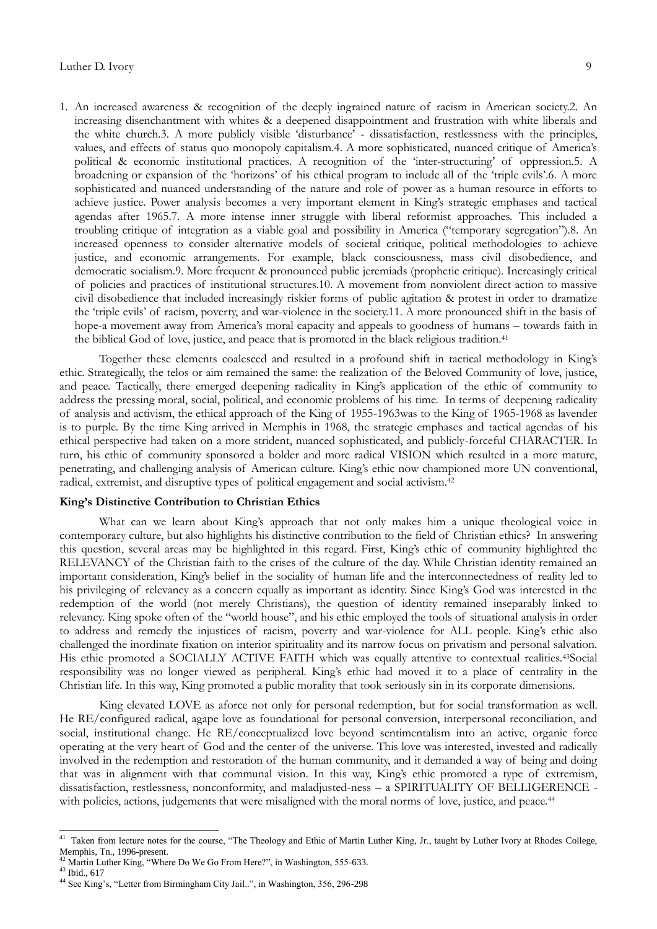1. An increased awareness & recognition of the deeply ingrained nature of racism in American society.2. An increasing disenchantment with whites & a deepened disappointment and frustration with white liberals and the white church.3. A more publicly visible "disturbance" - dissatisfaction, restlessness with the principles, values, and effects of status quo monopoly capitalism.4. A more sophisticated, nuanced critique of America's political & economic institutional practices. A recognition of the "inter-structuring" of oppression.5. A broadening or expansion of the "horizons" of his ethical program to include all of the "triple evils".6. A more sophisticated and nuanced understanding of the nature and role of power as a human resource in efforts to achieve justice. Power analysis becomes a very important element in King"s strategic emphases and tactical agendas after 1965.7. A more intense inner struggle with liberal reformist approaches. This included a troubling critique of integration as a viable goal and possibility in America ("temporary segregation").8. An increased openness to consider alternative models of societal critique, political methodologies to achieve justice, and economic arrangements. For example, black consciousness, mass civil disobedience, and democratic socialism.9. More frequent & pronounced public jeremiads (prophetic critique). Increasingly critical of policies and practices of institutional structures.10. A movement from nonviolent direct action to massive civil disobedience that included increasingly riskier forms of public agitation & protest in order to dramatize the "triple evils" of racism, poverty, and war-violence in the society.11. A more pronounced shift in the basis of hope-a movement away from America's moral capacity and appeals to goodness of humans – towards faith in the biblical God of love, justice, and peace that is promoted in the black religious tradition.<sup>41</sup>

Together these elements coalesced and resulted in a profound shift in tactical methodology in King's ethic. Strategically, the telos or aim remained the same: the realization of the Beloved Community of love, justice, and peace. Tactically, there emerged deepening radicality in King"s application of the ethic of community to address the pressing moral, social, political, and economic problems of his time. In terms of deepening radicality of analysis and activism, the ethical approach of the King of 1955-1963was to the King of 1965-1968 as lavender is to purple. By the time King arrived in Memphis in 1968, the strategic emphases and tactical agendas of his ethical perspective had taken on a more strident, nuanced sophisticated, and publicly-forceful CHARACTER. In turn, his ethic of community sponsored a bolder and more radical VISION which resulted in a more mature, penetrating, and challenging analysis of American culture. King's ethic now championed more UN conventional, radical, extremist, and disruptive types of political engagement and social activism.<sup>42</sup>

### **King's Distinctive Contribution to Christian Ethics**

What can we learn about King's approach that not only makes him a unique theological voice in contemporary culture, but also highlights his distinctive contribution to the field of Christian ethics? In answering this question, several areas may be highlighted in this regard. First, King's ethic of community highlighted the RELEVANCY of the Christian faith to the crises of the culture of the day. While Christian identity remained an important consideration, King"s belief in the sociality of human life and the interconnectedness of reality led to his privileging of relevancy as a concern equally as important as identity. Since King's God was interested in the redemption of the world (not merely Christians), the question of identity remained inseparably linked to relevancy. King spoke often of the "world house", and his ethic employed the tools of situational analysis in order to address and remedy the injustices of racism, poverty and war-violence for ALL people. King's ethic also challenged the inordinate fixation on interior spirituality and its narrow focus on privatism and personal salvation. His ethic promoted a SOCIALLY ACTIVE FAITH which was equally attentive to contextual realities.43Social responsibility was no longer viewed as peripheral. King"s ethic had moved it to a place of centrality in the Christian life. In this way, King promoted a public morality that took seriously sin in its corporate dimensions.

King elevated LOVE as aforce not only for personal redemption, but for social transformation as well. He RE/configured radical, agape love as foundational for personal conversion, interpersonal reconciliation, and social, institutional change. He RE/conceptualized love beyond sentimentalism into an active, organic force operating at the very heart of God and the center of the universe. This love was interested, invested and radically involved in the redemption and restoration of the human community, and it demanded a way of being and doing that was in alignment with that communal vision. In this way, King's ethic promoted a type of extremism, dissatisfaction, restlessness, nonconformity, and maladjusted-ness – a SPIRITUALITY OF BELLIGERENCE with policies, actions, judgements that were misaligned with the moral norms of love, justice, and peace.<sup>44</sup>

Taken from lecture notes for the course, "The Theology and Ethic of Martin Luther King, Jr., taught by Luther Ivory at Rhodes College, Memphis, Tn., 1996-present.

<sup>&</sup>lt;sup>42</sup> Martin Luther King, "Where Do We Go From Here?", in Washington, 555-633.

 $43$  Ibid., 617

<sup>&</sup>lt;sup>44</sup> See King's, "Letter from Birmingham City Jail..", in Washington, 356, 296-298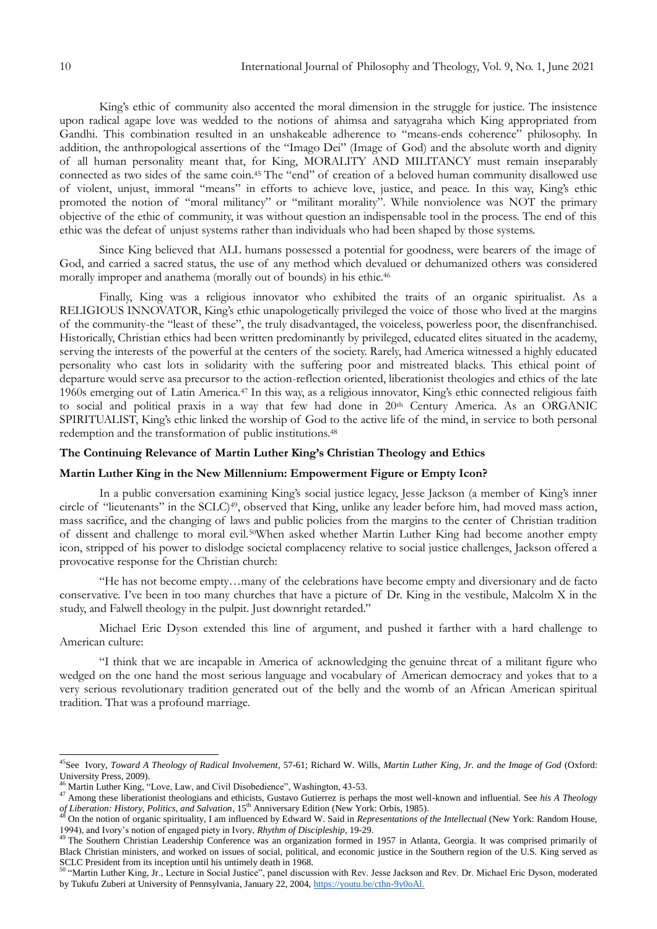King's ethic of community also accented the moral dimension in the struggle for justice. The insistence upon radical agape love was wedded to the notions of ahimsa and satyagraha which King appropriated from Gandhi. This combination resulted in an unshakeable adherence to "means-ends coherence" philosophy. In addition, the anthropological assertions of the "Imago Dei" (Image of God) and the absolute worth and dignity of all human personality meant that, for King, MORALITY AND MILITANCY must remain inseparably connected as two sides of the same coin.<sup>45</sup> The "end" of creation of a beloved human community disallowed use of violent, unjust, immoral "means" in efforts to achieve love, justice, and peace. In this way, King"s ethic promoted the notion of "moral militancy" or "militant morality". While nonviolence was NOT the primary objective of the ethic of community, it was without question an indispensable tool in the process. The end of this ethic was the defeat of unjust systems rather than individuals who had been shaped by those systems.

Since King believed that ALL humans possessed a potential for goodness, were bearers of the image of God, and carried a sacred status, the use of any method which devalued or dehumanized others was considered morally improper and anathema (morally out of bounds) in his ethic.<sup>46</sup>

Finally, King was a religious innovator who exhibited the traits of an organic spiritualist. As a RELIGIOUS INNOVATOR, King's ethic unapologetically privileged the voice of those who lived at the margins of the community-the "least of these", the truly disadvantaged, the voiceless, powerless poor, the disenfranchised. Historically, Christian ethics had been written predominantly by privileged, educated elites situated in the academy, serving the interests of the powerful at the centers of the society. Rarely, had America witnessed a highly educated personality who cast lots in solidarity with the suffering poor and mistreated blacks. This ethical point of departure would serve asa precursor to the action-reflection oriented, liberationist theologies and ethics of the late 1960s emerging out of Latin America.<sup>47</sup> In this way, as a religious innovator, King"s ethic connected religious faith to social and political praxis in a way that few had done in 20<sup>th</sup> Century America. As an ORGANIC SPIRITUALIST, King's ethic linked the worship of God to the active life of the mind, in service to both personal redemption and the transformation of public institutions.<sup>48</sup>

# **The Continuing Relevance of Martin Luther King's Christian Theology and Ethics**

#### **Martin Luther King in the New Millennium: Empowerment Figure or Empty Icon?**

In a public conversation examining King"s social justice legacy, Jesse Jackson (a member of King"s inner circle of "lieutenants" in the SCLC)<sup>49</sup>, observed that King, unlike any leader before him, had moved mass action, mass sacrifice, and the changing of laws and public policies from the margins to the center of Christian tradition of dissent and challenge to moral evil.50When asked whether Martin Luther King had become another empty icon, stripped of his power to dislodge societal complacency relative to social justice challenges, Jackson offered a provocative response for the Christian church:

"He has not become empty…many of the celebrations have become empty and diversionary and de facto conservative. I"ve been in too many churches that have a picture of Dr. King in the vestibule, Malcolm X in the study, and Falwell theology in the pulpit. Just downright retarded."

Michael Eric Dyson extended this line of argument, and pushed it farther with a hard challenge to American culture:

"I think that we are incapable in America of acknowledging the genuine threat of a militant figure who wedged on the one hand the most serious language and vocabulary of American democracy and yokes that to a very serious revolutionary tradition generated out of the belly and the womb of an African American spiritual tradition. That was a profound marriage.

<sup>45</sup>See Ivory, *Toward A Theology of Radical Involvement*, 57-61; Richard W. Wills, *Martin Luther King, Jr. and the Image of God* (Oxford: University Press, 2009).

 $^{6}$  Martin Luther King, "Love, Law, and Civil Disobedience", Washington, 43-53.

<sup>47</sup> Among these liberationist theologians and ethicists, Gustavo Gutierrez is perhaps the most well-known and influential. See *his A Theology of Liberation: History, Politics, and Salvation*, 15th Anniversary Edition (New York: Orbis, 1985).

<sup>48</sup> On the notion of organic spirituality, I am influenced by Edward W. Said in *Representations of the Intellectual* (New York: Random House, 1994), and Ivory"s notion of engaged piety in Ivory, *Rhythm of Discipleship*, 19-29.

<sup>&</sup>lt;sup>49</sup> The Southern Christian Leadership Conference was an organization formed in 1957 in Atlanta, Georgia. It was comprised primarily of Black Christian ministers, and worked on issues of social, political, and economic justice in the Southern region of the U.S. King served as SCLC President from its inception until his untimely death in 1968.

<sup>&</sup>lt;sup>50</sup> "Martin Luther King, Jr., Lecture in Social Justice", panel discussion with Rev. Jesse Jackson and Rev. Dr. Michael Eric Dyson, moderated by Tukufu Zuberi at University of Pennsylvania, January 22, 2004, [https://youtu.be/cthn-9y0oAl.](https://youtu.be/cthn-9y0oAl)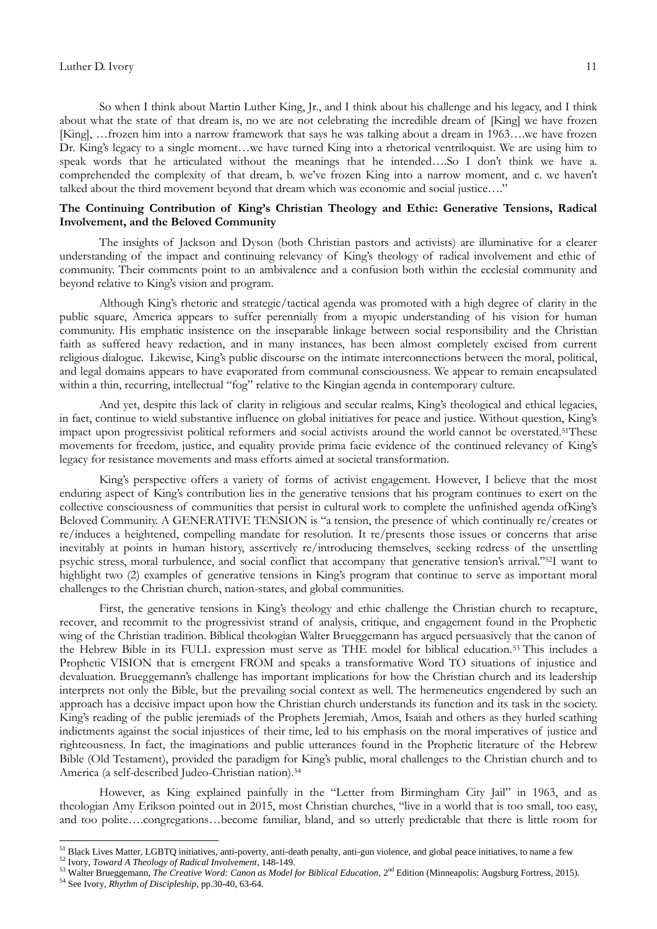So when I think about Martin Luther King, Jr., and I think about his challenge and his legacy, and I think about what the state of that dream is, no we are not celebrating the incredible dream of [King] we have frozen [King], …frozen him into a narrow framework that says he was talking about a dream in 1963….we have frozen Dr. King"s legacy to a single moment…we have turned King into a rhetorical ventriloquist. We are using him to speak words that he articulated without the meanings that he intended…So I don't think we have a. comprehended the complexity of that dream, b. we've frozen King into a narrow moment, and c. we haven't talked about the third movement beyond that dream which was economic and social justice…."

# **The Continuing Contribution of King's Christian Theology and Ethic: Generative Tensions, Radical Involvement, and the Beloved Community**

The insights of Jackson and Dyson (both Christian pastors and activists) are illuminative for a clearer understanding of the impact and continuing relevancy of King"s theology of radical involvement and ethic of community. Their comments point to an ambivalence and a confusion both within the ecclesial community and beyond relative to King's vision and program.

Although King"s rhetoric and strategic/tactical agenda was promoted with a high degree of clarity in the public square, America appears to suffer perennially from a myopic understanding of his vision for human community. His emphatic insistence on the inseparable linkage between social responsibility and the Christian faith as suffered heavy redaction, and in many instances, has been almost completely excised from current religious dialogue. Likewise, King"s public discourse on the intimate interconnections between the moral, political, and legal domains appears to have evaporated from communal consciousness. We appear to remain encapsulated within a thin, recurring, intellectual "fog" relative to the Kingian agenda in contemporary culture.

And yet, despite this lack of clarity in religious and secular realms, King"s theological and ethical legacies, in fact, continue to wield substantive influence on global initiatives for peace and justice. Without question, King"s impact upon progressivist political reformers and social activists around the world cannot be overstated.51These movements for freedom, justice, and equality provide prima facie evidence of the continued relevancy of King"s legacy for resistance movements and mass efforts aimed at societal transformation.

King's perspective offers a variety of forms of activist engagement. However, I believe that the most enduring aspect of King"s contribution lies in the generative tensions that his program continues to exert on the collective consciousness of communities that persist in cultural work to complete the unfinished agenda ofKing"s Beloved Community. A GENERATIVE TENSION is "a tension, the presence of which continually re/creates or re/induces a heightened, compelling mandate for resolution. It re/presents those issues or concerns that arise inevitably at points in human history, assertively re/introducing themselves, seeking redress of the unsettling psychic stress, moral turbulence, and social conflict that accompany that generative tension"s arrival."52I want to highlight two (2) examples of generative tensions in King's program that continue to serve as important moral challenges to the Christian church, nation-states, and global communities.

First, the generative tensions in King's theology and ethic challenge the Christian church to recapture, recover, and recommit to the progressivist strand of analysis, critique, and engagement found in the Prophetic wing of the Christian tradition. Biblical theologian Walter Brueggemann has argued persuasively that the canon of the Hebrew Bible in its FULL expression must serve as THE model for biblical education.<sup>53</sup> This includes a Prophetic VISION that is emergent FROM and speaks a transformative Word TO situations of injustice and devaluation. Brueggemann"s challenge has important implications for how the Christian church and its leadership interprets not only the Bible, but the prevailing social context as well. The hermeneutics engendered by such an approach has a decisive impact upon how the Christian church understands its function and its task in the society. King's reading of the public jeremiads of the Prophets Jeremiah, Amos, Isaiah and others as they hurled scathing indictments against the social injustices of their time, led to his emphasis on the moral imperatives of justice and righteousness. In fact, the imaginations and public utterances found in the Prophetic literature of the Hebrew Bible (Old Testament), provided the paradigm for King"s public, moral challenges to the Christian church and to America (a self-described Judeo-Christian nation).<sup>54</sup>

However, as King explained painfully in the "Letter from Birmingham City Jail" in 1963, and as theologian Amy Erikson pointed out in 2015, most Christian churches, "live in a world that is too small, too easy, and too polite….congregations…become familiar, bland, and so utterly predictable that there is little room for

<sup>52</sup> Ivory, *Toward A Theology of Radical Involvement*, 148-149.

<sup>&</sup>lt;sup>51</sup> Black Lives Matter, LGBTQ initiatives, anti-poverty, anti-death penalty, anti-gun violence, and global peace initiatives, to name a few

<sup>&</sup>lt;sup>53</sup> Walter Brueggemann, *The Creative Word: Canon as Model for Biblical Education*, 2<sup>nd</sup> Edition (Minneapolis: Augsburg Fortress, 2015).

<sup>54</sup> See Ivory, *Rhythm of Discipleship*, pp.30-40, 63-64.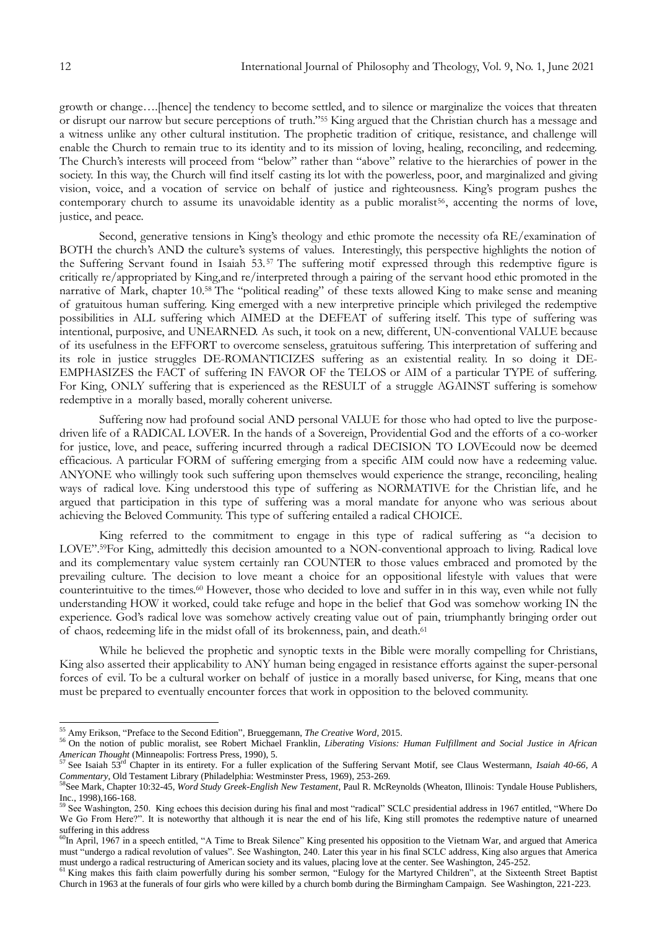growth or change….[hence] the tendency to become settled, and to silence or marginalize the voices that threaten or disrupt our narrow but secure perceptions of truth."<sup>55</sup> King argued that the Christian church has a message and a witness unlike any other cultural institution. The prophetic tradition of critique, resistance, and challenge will enable the Church to remain true to its identity and to its mission of loving, healing, reconciling, and redeeming. The Church's interests will proceed from "below" rather than "above" relative to the hierarchies of power in the society. In this way, the Church will find itself casting its lot with the powerless, poor, and marginalized and giving vision, voice, and a vocation of service on behalf of justice and righteousness. King"s program pushes the contemporary church to assume its unavoidable identity as a public moralist<sup>56</sup>, accenting the norms of love, justice, and peace.

Second, generative tensions in King's theology and ethic promote the necessity ofa RE/examination of BOTH the church's AND the culture's systems of values. Interestingly, this perspective highlights the notion of the Suffering Servant found in Isaiah 53. <sup>57</sup> The suffering motif expressed through this redemptive figure is critically re/appropriated by King,and re/interpreted through a pairing of the servant hood ethic promoted in the narrative of Mark, chapter 10.<sup>58</sup> The "political reading" of these texts allowed King to make sense and meaning of gratuitous human suffering. King emerged with a new interpretive principle which privileged the redemptive possibilities in ALL suffering which AIMED at the DEFEAT of suffering itself. This type of suffering was intentional, purposive, and UNEARNED. As such, it took on a new, different, UN-conventional VALUE because of its usefulness in the EFFORT to overcome senseless, gratuitous suffering. This interpretation of suffering and its role in justice struggles DE-ROMANTICIZES suffering as an existential reality. In so doing it DE-EMPHASIZES the FACT of suffering IN FAVOR OF the TELOS or AIM of a particular TYPE of suffering. For King, ONLY suffering that is experienced as the RESULT of a struggle AGAINST suffering is somehow redemptive in a morally based, morally coherent universe.

Suffering now had profound social AND personal VALUE for those who had opted to live the purposedriven life of a RADICAL LOVER. In the hands of a Sovereign, Providential God and the efforts of a co-worker for justice, love, and peace, suffering incurred through a radical DECISION TO LOVEcould now be deemed efficacious. A particular FORM of suffering emerging from a specific AIM could now have a redeeming value. ANYONE who willingly took such suffering upon themselves would experience the strange, reconciling, healing ways of radical love. King understood this type of suffering as NORMATIVE for the Christian life, and he argued that participation in this type of suffering was a moral mandate for anyone who was serious about achieving the Beloved Community. This type of suffering entailed a radical CHOICE.

King referred to the commitment to engage in this type of radical suffering as "a decision to LOVE".59For King, admittedly this decision amounted to a NON-conventional approach to living. Radical love and its complementary value system certainly ran COUNTER to those values embraced and promoted by the prevailing culture. The decision to love meant a choice for an oppositional lifestyle with values that were counterintuitive to the times.<sup>60</sup> However, those who decided to love and suffer in in this way, even while not fully understanding HOW it worked, could take refuge and hope in the belief that God was somehow working IN the experience. God"s radical love was somehow actively creating value out of pain, triumphantly bringing order out of chaos, redeeming life in the midst ofall of its brokenness, pain, and death.<sup>61</sup>

While he believed the prophetic and synoptic texts in the Bible were morally compelling for Christians, King also asserted their applicability to ANY human being engaged in resistance efforts against the super-personal forces of evil. To be a cultural worker on behalf of justice in a morally based universe, for King, means that one must be prepared to eventually encounter forces that work in opposition to the beloved community.

<sup>55</sup> Amy Erikson, "Preface to the Second Edition", Brueggemann, *The Creative Word*, 2015.

<sup>56</sup> On the notion of public moralist, see Robert Michael Franklin*, Liberating Visions: Human Fulfillment and Social Justice in African American Thought* (Minneapolis: Fortress Press, 1990), 5.

<sup>57</sup> See Isaiah 53rd Chapter in its entirety. For a fuller explication of the Suffering Servant Motif, see Claus Westermann, *Isaiah 40-66, A Commentary*, Old Testament Library (Philadelphia: Westminster Press, 1969), 253-269.

<sup>58</sup>See Mark, Chapter 10:32-45, *Word Study Greek-English New Testament*, Paul R. McReynolds (Wheaton, Illinois: Tyndale House Publishers, Inc., 1998),166-168.

<sup>59</sup> See Washington, 250. King echoes this decision during his final and most "radical" SCLC presidential address in 1967 entitled, "Where Do We Go From Here?". It is noteworthy that although it is near the end of his life, King still promotes the redemptive nature of unearned suffering in this address

<sup>&</sup>lt;sup>60</sup>In April, 1967 in a speech entitled, "A Time to Break Silence" King presented his opposition to the Vietnam War, and argued that America must "undergo a radical revolution of values". See Washington, 240. Later this year in his final SCLC address, King also argues that America must undergo a radical restructuring of American society and its values, placing love at the center. See Washington, 245-252.

<sup>&</sup>lt;sup>61</sup> King makes this faith claim powerfully during his somber sermon, "Eulogy for the Martyred Children", at the Sixteenth Street Baptist Church in 1963 at the funerals of four girls who were killed by a church bomb during the Birmingham Campaign. See Washington, 221-223.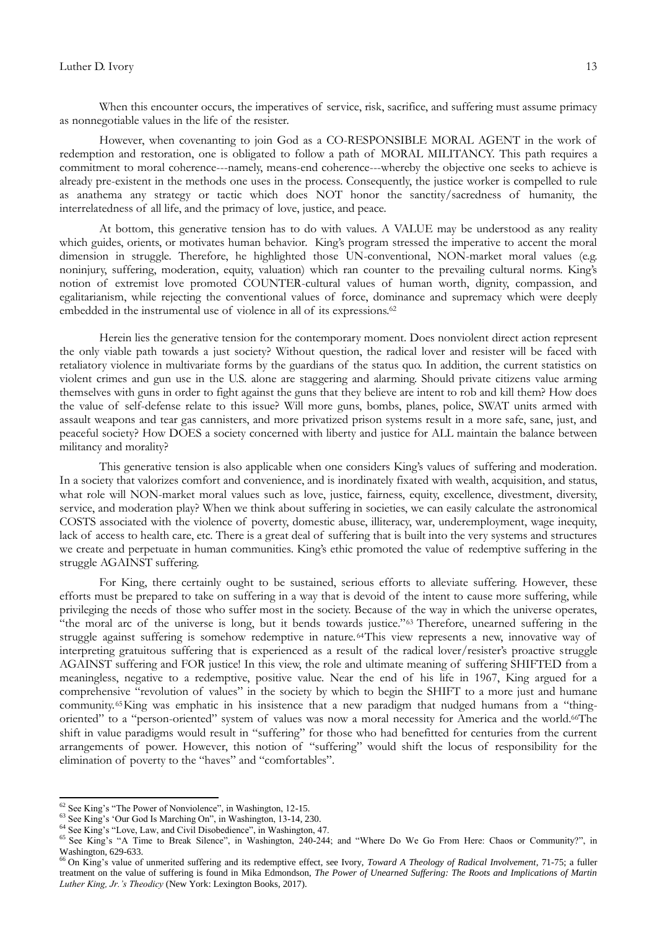When this encounter occurs, the imperatives of service, risk, sacrifice, and suffering must assume primacy as nonnegotiable values in the life of the resister.

However, when covenanting to join God as a CO-RESPONSIBLE MORAL AGENT in the work of redemption and restoration, one is obligated to follow a path of MORAL MILITANCY. This path requires a commitment to moral coherence---namely, means-end coherence---whereby the objective one seeks to achieve is already pre-existent in the methods one uses in the process. Consequently, the justice worker is compelled to rule as anathema any strategy or tactic which does NOT honor the sanctity/sacredness of humanity, the interrelatedness of all life, and the primacy of love, justice, and peace.

At bottom, this generative tension has to do with values. A VALUE may be understood as any reality which guides, orients, or motivates human behavior. King's program stressed the imperative to accent the moral dimension in struggle. Therefore, he highlighted those UN-conventional, NON-market moral values (e.g. noninjury, suffering, moderation, equity, valuation) which ran counter to the prevailing cultural norms. King"s notion of extremist love promoted COUNTER-cultural values of human worth, dignity, compassion, and egalitarianism, while rejecting the conventional values of force, dominance and supremacy which were deeply embedded in the instrumental use of violence in all of its expressions.<sup>62</sup>

Herein lies the generative tension for the contemporary moment. Does nonviolent direct action represent the only viable path towards a just society? Without question, the radical lover and resister will be faced with retaliatory violence in multivariate forms by the guardians of the status quo. In addition, the current statistics on violent crimes and gun use in the U.S. alone are staggering and alarming. Should private citizens value arming themselves with guns in order to fight against the guns that they believe are intent to rob and kill them? How does the value of self-defense relate to this issue? Will more guns, bombs, planes, police, SWAT units armed with assault weapons and tear gas cannisters, and more privatized prison systems result in a more safe, sane, just, and peaceful society? How DOES a society concerned with liberty and justice for ALL maintain the balance between militancy and morality?

This generative tension is also applicable when one considers King"s values of suffering and moderation. In a society that valorizes comfort and convenience, and is inordinately fixated with wealth, acquisition, and status, what role will NON-market moral values such as love, justice, fairness, equity, excellence, divestment, diversity, service, and moderation play? When we think about suffering in societies, we can easily calculate the astronomical COSTS associated with the violence of poverty, domestic abuse, illiteracy, war, underemployment, wage inequity, lack of access to health care, etc. There is a great deal of suffering that is built into the very systems and structures we create and perpetuate in human communities. King's ethic promoted the value of redemptive suffering in the struggle AGAINST suffering.

For King, there certainly ought to be sustained, serious efforts to alleviate suffering. However, these efforts must be prepared to take on suffering in a way that is devoid of the intent to cause more suffering, while privileging the needs of those who suffer most in the society. Because of the way in which the universe operates, "the moral arc of the universe is long, but it bends towards justice."<sup>63</sup> Therefore, unearned suffering in the struggle against suffering is somehow redemptive in nature. <sup>64</sup>This view represents a new, innovative way of interpreting gratuitous suffering that is experienced as a result of the radical lover/resister's proactive struggle AGAINST suffering and FOR justice! In this view, the role and ultimate meaning of suffering SHIFTED from a meaningless, negative to a redemptive, positive value. Near the end of his life in 1967, King argued for a comprehensive "revolution of values" in the society by which to begin the SHIFT to a more just and humane community.65King was emphatic in his insistence that a new paradigm that nudged humans from a "thingoriented" to a "person-oriented" system of values was now a moral necessity for America and the world.66The shift in value paradigms would result in "suffering" for those who had benefitted for centuries from the current arrangements of power. However, this notion of "suffering" would shift the locus of responsibility for the elimination of poverty to the "haves" and "comfortables".

 $62$  See King's "The Power of Nonviolence", in Washington, 12-15.

<sup>&</sup>lt;sup>63</sup> See King's 'Our God Is Marching On", in Washington, 13-14, 230.

<sup>&</sup>lt;sup>64</sup> See King's "Love, Law, and Civil Disobedience", in Washington, 47.

<sup>&</sup>lt;sup>65</sup> See King's "A Time to Break Silence", in Washington, 240-244; and "Where Do We Go From Here: Chaos or Community?", in Washington, 629-633.

<sup>&</sup>lt;sup>66</sup> On King's value of unmerited suffering and its redemptive effect, see Ivory, *Toward A Theology of Radical Involvement*, 71-75; a fuller treatment on the value of suffering is found in Mika Edmondson, *The Power of Unearned Suffering: The Roots and Implications of Martin Luther King, Jr.'s Theodicy* (New York: Lexington Books, 2017).